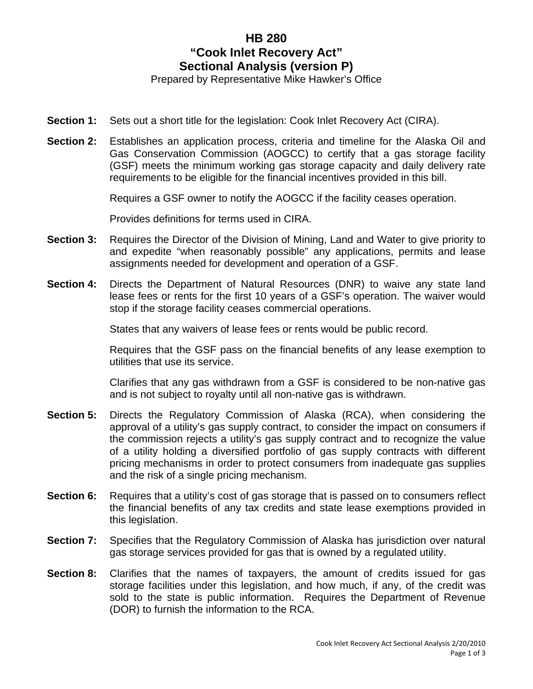## **HB 280 "Cook Inlet Recovery Act" Sectional Analysis (version P)**

Prepared by Representative Mike Hawker's Office

- **Section 1:** Sets out a short title for the legislation: Cook Inlet Recovery Act (CIRA).
- **Section 2:** Establishes an application process, criteria and timeline for the Alaska Oil and Gas Conservation Commission (AOGCC) to certify that a gas storage facility (GSF) meets the minimum working gas storage capacity and daily delivery rate requirements to be eligible for the financial incentives provided in this bill.

Requires a GSF owner to notify the AOGCC if the facility ceases operation.

Provides definitions for terms used in CIRA.

- **Section 3:** Requires the Director of the Division of Mining, Land and Water to give priority to and expedite "when reasonably possible" any applications, permits and lease assignments needed for development and operation of a GSF.
- **Section 4:** Directs the Department of Natural Resources (DNR) to waive any state land lease fees or rents for the first 10 years of a GSF's operation. The waiver would stop if the storage facility ceases commercial operations.

States that any waivers of lease fees or rents would be public record.

Requires that the GSF pass on the financial benefits of any lease exemption to utilities that use its service.

Clarifies that any gas withdrawn from a GSF is considered to be non-native gas and is not subject to royalty until all non-native gas is withdrawn.

- **Section 5:** Directs the Regulatory Commission of Alaska (RCA), when considering the approval of a utility's gas supply contract, to consider the impact on consumers if the commission rejects a utility's gas supply contract and to recognize the value of a utility holding a diversified portfolio of gas supply contracts with different pricing mechanisms in order to protect consumers from inadequate gas supplies and the risk of a single pricing mechanism.
- **Section 6:** Requires that a utility's cost of gas storage that is passed on to consumers reflect the financial benefits of any tax credits and state lease exemptions provided in this legislation.
- **Section 7:** Specifies that the Regulatory Commission of Alaska has jurisdiction over natural gas storage services provided for gas that is owned by a regulated utility.
- **Section 8:** Clarifies that the names of taxpayers, the amount of credits issued for gas storage facilities under this legislation, and how much, if any, of the credit was sold to the state is public information. Requires the Department of Revenue (DOR) to furnish the information to the RCA.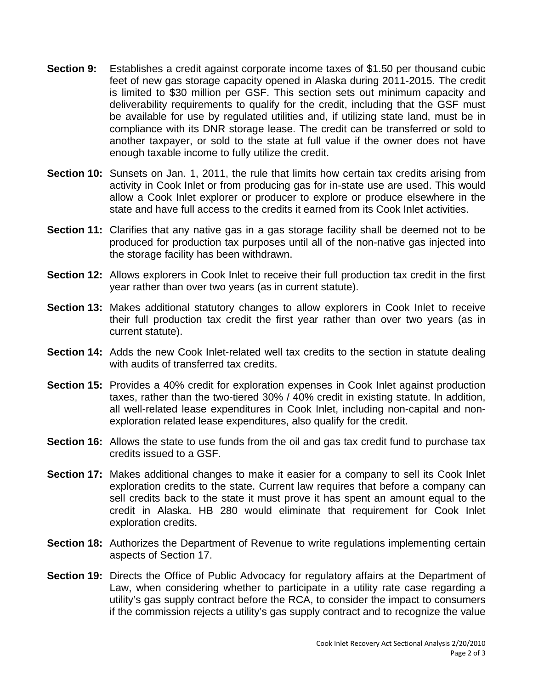- **Section 9:** Establishes a credit against corporate income taxes of \$1.50 per thousand cubic feet of new gas storage capacity opened in Alaska during 2011-2015. The credit is limited to \$30 million per GSF. This section sets out minimum capacity and deliverability requirements to qualify for the credit, including that the GSF must be available for use by regulated utilities and, if utilizing state land, must be in compliance with its DNR storage lease. The credit can be transferred or sold to another taxpayer, or sold to the state at full value if the owner does not have enough taxable income to fully utilize the credit.
- **Section 10:** Sunsets on Jan. 1, 2011, the rule that limits how certain tax credits arising from activity in Cook Inlet or from producing gas for in-state use are used. This would allow a Cook Inlet explorer or producer to explore or produce elsewhere in the state and have full access to the credits it earned from its Cook Inlet activities.
- **Section 11:** Clarifies that any native gas in a gas storage facility shall be deemed not to be produced for production tax purposes until all of the non-native gas injected into the storage facility has been withdrawn.
- **Section 12:** Allows explorers in Cook Inlet to receive their full production tax credit in the first year rather than over two years (as in current statute).
- **Section 13:** Makes additional statutory changes to allow explorers in Cook Inlet to receive their full production tax credit the first year rather than over two years (as in current statute).
- **Section 14:** Adds the new Cook Inlet-related well tax credits to the section in statute dealing with audits of transferred tax credits.
- **Section 15:** Provides a 40% credit for exploration expenses in Cook Inlet against production taxes, rather than the two-tiered 30% / 40% credit in existing statute. In addition, all well-related lease expenditures in Cook Inlet, including non-capital and nonexploration related lease expenditures, also qualify for the credit.
- **Section 16:** Allows the state to use funds from the oil and gas tax credit fund to purchase tax credits issued to a GSF.
- **Section 17:** Makes additional changes to make it easier for a company to sell its Cook Inlet exploration credits to the state. Current law requires that before a company can sell credits back to the state it must prove it has spent an amount equal to the credit in Alaska. HB 280 would eliminate that requirement for Cook Inlet exploration credits.
- **Section 18:** Authorizes the Department of Revenue to write regulations implementing certain aspects of Section 17.
- **Section 19:** Directs the Office of Public Advocacy for regulatory affairs at the Department of Law, when considering whether to participate in a utility rate case regarding a utility's gas supply contract before the RCA, to consider the impact to consumers if the commission rejects a utility's gas supply contract and to recognize the value